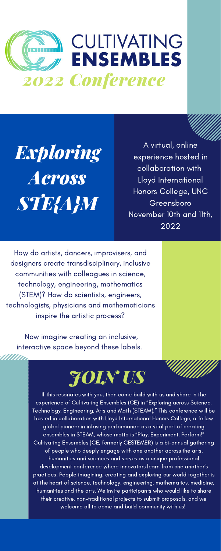How do artists, dancers, improvisers, and designers create transdisciplinary, inclusive communities with colleagues in science, technology, engineering, mathematics (STEM)? How do scientists, engineers, technologists, physicians and mathematicians inspire the artistic process?

Now imagine creating an inclusive, interactive space beyond these labels.

<u>Ullian</u>



*Exploring Across STE{A}M*

A virtual, online experience hosted in collaboration with Lloyd International Honors College, UNC Greensboro November 10th and 11th, 2022

**SANTA ANG PARTIT** 

If this resonates with you, then come build with us and share in the experience of Cultivating Ensembles (CE) in "Exploring across Science, Technology, Engineering, Arts and Math (STEAM)." This conference will be hosted in collaboration with Lloyd International Honors College, a fellow global pioneer in infusing performance as a vital part of creating ensembles in STEAM, whose motto is "Play, Experiment, Perform!" Cultivating Ensembles (CE, formerly CESTEMER) is a bi-annual gathering of people who deeply engage with one another across the arts, humanities and sciences and serves as a unique professional development conference where innovators learn from one another's practices. People imagining, creating and exploring our world together is at the heart of science, technology, engineering, mathematics, medicine, humanities and the arts. We invite participants who would like to share their creative, non-traditional projects to submit proposals, and we welcome all to come and build community with us!

# *JOIN US*